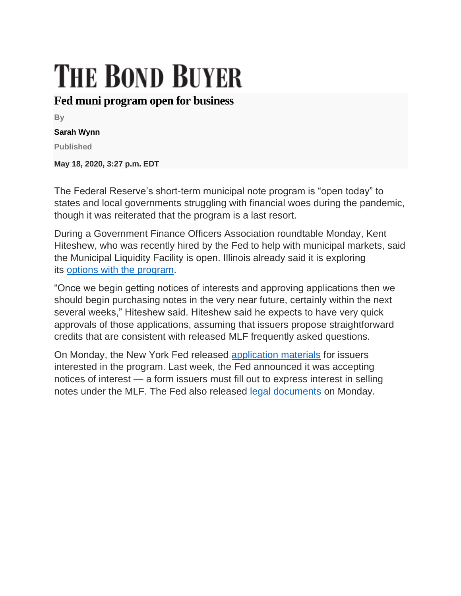## **THE BOND BUYER**

## **Fed muni program open for business**

**By**

## **Sarah Wynn**

**Published**

**May 18, 2020, 3:27 p.m. EDT**

The Federal Reserve's short-term municipal note program is "open today" to states and local governments struggling with financial woes during the pandemic, though it was reiterated that the program is a last resort.

During a Government Finance Officers Association roundtable Monday, Kent Hiteshew, who was recently hired by the Fed to help with municipal markets, said the Municipal Liquidity Facility is open. Illinois already said it is exploring its [options with the program.](https://www.bondbuyer.com/news/illinois-may-borrow-using-mlf-after-fed-policy-adjustment)

"Once we begin getting notices of interests and approving applications then we should begin purchasing notes in the very near future, certainly within the next several weeks," Hiteshew said. Hiteshew said he expects to have very quick approvals of those applications, assuming that issuers propose straightforward credits that are consistent with released MLF frequently asked questions.

On Monday, the New York Fed released [application materials](https://www.newyorkfed.org/medialibrary/media/markets/mlf/mlf-sample-application) for issuers interested in the program. Last week, the Fed announced it was accepting notices of interest — a form issuers must fill out to express interest in selling notes under the MLF. The Fed also released [legal documents](https://www.newyorkfed.org/medialibrary/media/markets/mlf/mlf-form-docs-certs) on Monday.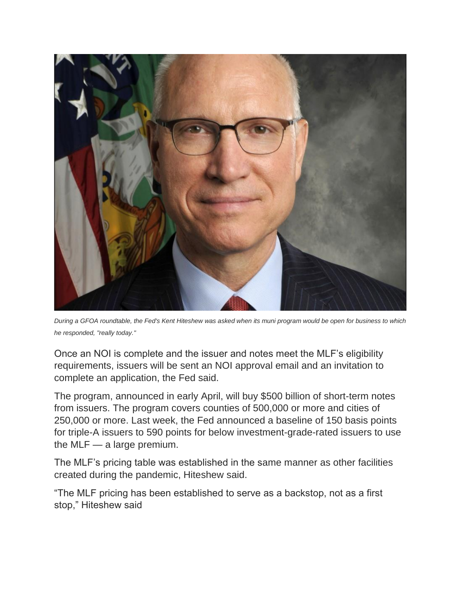

*During a GFOA roundtable, the Fed's Kent Hiteshew was asked when its muni program would be open for business to which he responded, "really today."*

Once an NOI is complete and the issuer and notes meet the MLF's eligibility requirements, issuers will be sent an NOI approval email and an invitation to complete an application, the Fed said.

The program, announced in early April, will buy \$500 billion of short-term notes from issuers. The program covers counties of 500,000 or more and cities of 250,000 or more. Last week, the Fed announced a baseline of 150 basis points for triple-A issuers to 590 points for below investment-grade-rated issuers to use the MLF — a large premium.

The MLF's pricing table was established in the same manner as other facilities created during the pandemic, Hiteshew said.

"The MLF pricing has been established to serve as a backstop, not as a first stop," Hiteshew said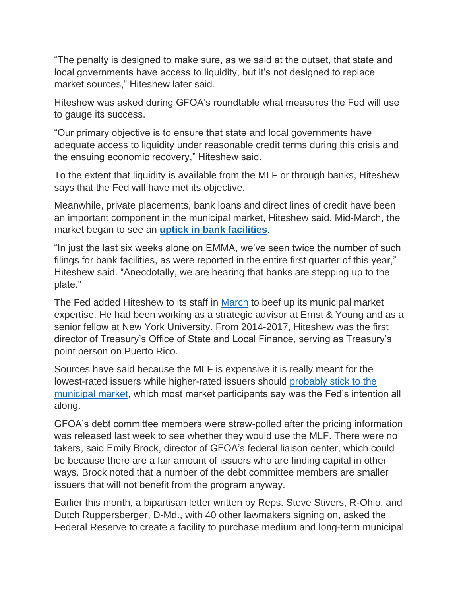"The penalty is designed to make sure, as we said at the outset, that state and local governments have access to liquidity, but it's not designed to replace market sources," Hiteshew later said.

Hiteshew was asked during GFOA's roundtable what measures the Fed will use to gauge its success.

"Our primary objective is to ensure that state and local governments have adequate access to liquidity under reasonable credit terms during this crisis and the ensuing economic recovery," Hiteshew said.

To the extent that liquidity is available from the MLF or through banks, Hiteshew says that the Fed will have met its objective.

Meanwhile, private placements, bank loans and direct lines of credit have been an important component in the municipal market, Hiteshew said. Mid-March, the market began to see an **[uptick in bank facilities](https://www.bondbuyer.com/news/private-placements-on-uptick-as-issuers-search-for-buyers)**.

"In just the last six weeks alone on EMMA, we've seen twice the number of such filings for bank facilities, as were reported in the entire first quarter of this year," Hiteshew said. "Anecdotally, we are hearing that banks are stepping up to the plate."

The Fed added Hiteshew to its staff in [March](https://www.bondbuyer.com/news/federal-reserve-hires-kent-hiteshew) to beef up its municipal market expertise. He had been working as a strategic advisor at Ernst & Young and as a senior fellow at New York University. From 2014-2017, Hiteshew was the first director of Treasury's Office of State and Local Finance, serving as Treasury's point person on Puerto Rico.

Sources have said because the MLF is expensive it is really meant for the lowest-rated issuers while higher-rated issuers should [probably stick to the](https://www.bondbuyer.com/news/muni-investors-on-quest-for-high-grade-paper)  [municipal market,](https://www.bondbuyer.com/news/muni-investors-on-quest-for-high-grade-paper) which most market participants say was the Fed's intention all along.

GFOA's debt committee members were straw-polled after the pricing information was released last week to see whether they would use the MLF. There were no takers, said Emily Brock, director of GFOA's federal liaison center, which could be because there are a fair amount of issuers who are finding capital in other ways. Brock noted that a number of the debt committee members are smaller issuers that will not benefit from the program anyway.

Earlier this month, a bipartisan letter written by Reps. Steve Stivers, R-Ohio, and Dutch Ruppersberger, D-Md., with 40 other lawmakers signing on, asked the Federal Reserve to create a facility to purchase medium and long-term municipal